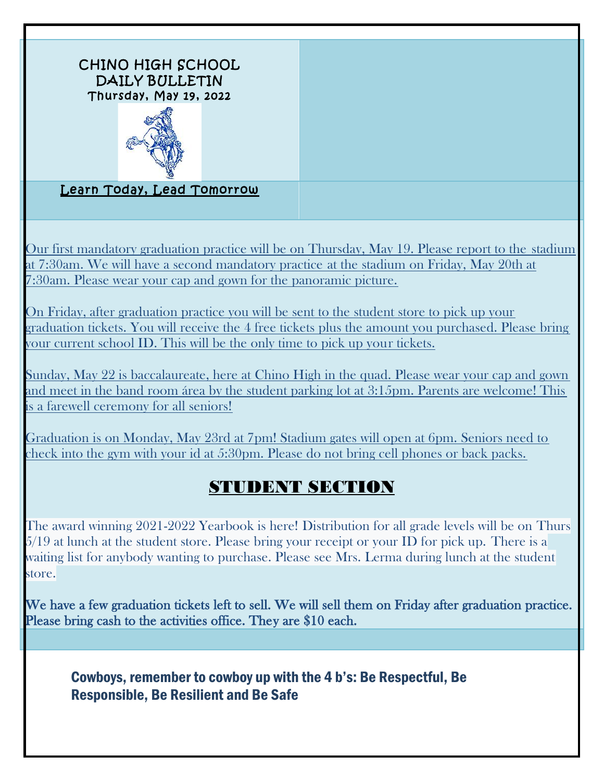

Our first mandatory graduation practice will be on Thursday, May 19. Please report to the stadium at 7:30am. We will have a second mandatory practice at the stadium on Friday, May 20th at 7:30am. Please wear your cap and gown for the panoramic picture.

On Friday, after graduation practice you will be sent to the student store to pick up your graduation tickets. You will receive the 4 free tickets plus the amount you purchased. Please bring your current school ID. This will be the only time to pick up your tickets.

Sunday, May 22 is baccalaureate, here at Chino High in the quad. Please wear your cap and gown and meet in the band room área by the student parking lot at 3:15pm. Parents are welcome! This is a farewell ceremony for all seniors!

Graduation is on Monday, May 23rd at 7pm! Stadium gates will open at 6pm. Seniors need to check into the gym with your id at 5:30pm. Please do not bring cell phones or back packs.

## STUDENT SECTION

The award winning 2021-2022 Yearbook is here! Distribution for all grade levels will be on Thurs 5/19 at lunch at the student store. Please bring your receipt or your ID for pick up. There is a waiting list for anybody wanting to purchase. Please see Mrs. Lerma during lunch at the student store.

We have a few graduation tickets left to sell. We will sell them on Friday after graduation practice. Please bring cash to the activities office. They are \$10 each.

## Cowboys, remember to cowboy up with the 4 b's: Be Respectful, Be Responsible, Be Resilient and Be Safe